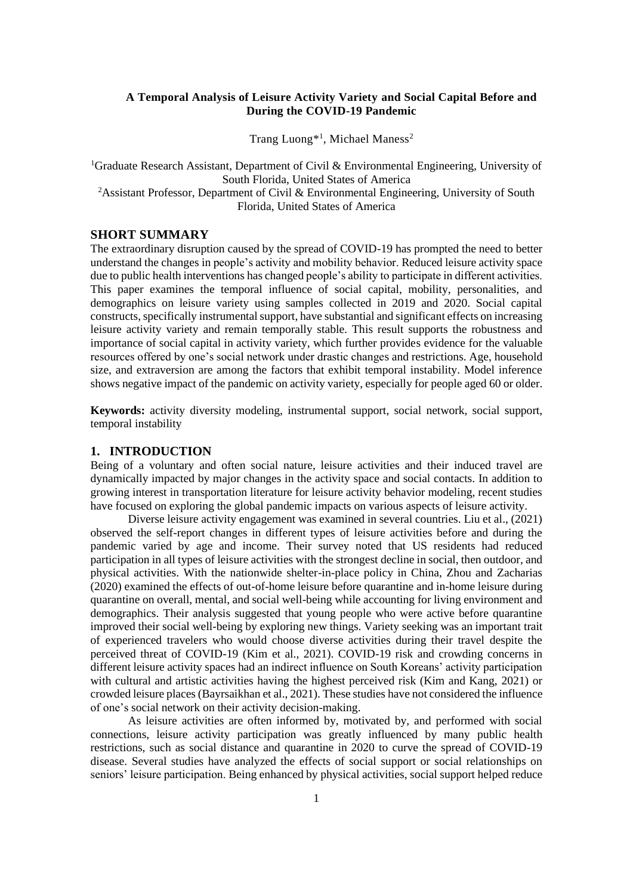# **A Temporal Analysis of Leisure Activity Variety and Social Capital Before and During the COVID-19 Pandemic**

Trang Luong<sup>\*1</sup>, Michael Maness<sup>2</sup>

<sup>1</sup>Graduate Research Assistant, Department of Civil & Environmental Engineering, University of South Florida, United States of America <sup>2</sup>Assistant Professor, Department of Civil & Environmental Engineering, University of South Florida, United States of America

# **SHORT SUMMARY**

The extraordinary disruption caused by the spread of COVID-19 has prompted the need to better understand the changes in people's activity and mobility behavior. Reduced leisure activity space due to public health interventions has changed people's ability to participate in different activities. This paper examines the temporal influence of social capital, mobility, personalities, and demographics on leisure variety using samples collected in 2019 and 2020. Social capital constructs, specifically instrumental support, have substantial and significant effects on increasing leisure activity variety and remain temporally stable. This result supports the robustness and importance of social capital in activity variety, which further provides evidence for the valuable resources offered by one's social network under drastic changes and restrictions. Age, household size, and extraversion are among the factors that exhibit temporal instability. Model inference shows negative impact of the pandemic on activity variety, especially for people aged 60 or older.

**Keywords:** activity diversity modeling, instrumental support, social network, social support, temporal instability

# **1. INTRODUCTION**

Being of a voluntary and often social nature, leisure activities and their induced travel are dynamically impacted by major changes in the activity space and social contacts. In addition to growing interest in transportation literature for leisure activity behavior modeling, recent studies have focused on exploring the global pandemic impacts on various aspects of leisure activity.

Diverse leisure activity engagement was examined in several countries. Liu et al., (2021) observed the self-report changes in different types of leisure activities before and during the pandemic varied by age and income. Their survey noted that US residents had reduced participation in all types of leisure activities with the strongest decline in social, then outdoor, and physical activities. With the nationwide shelter-in-place policy in China, Zhou and Zacharias (2020) examined the effects of out-of-home leisure before quarantine and in-home leisure during quarantine on overall, mental, and social well-being while accounting for living environment and demographics. Their analysis suggested that young people who were active before quarantine improved their social well-being by exploring new things. Variety seeking was an important trait of experienced travelers who would choose diverse activities during their travel despite the perceived threat of COVID-19 (Kim et al., 2021). COVID-19 risk and crowding concerns in different leisure activity spaces had an indirect influence on South Koreans' activity participation with cultural and artistic activities having the highest perceived risk (Kim and Kang, 2021) or crowded leisure places (Bayrsaikhan et al., 2021). These studies have not considered the influence of one's social network on their activity decision-making.

As leisure activities are often informed by, motivated by, and performed with social connections, leisure activity participation was greatly influenced by many public health restrictions, such as social distance and quarantine in 2020 to curve the spread of COVID-19 disease. Several studies have analyzed the effects of social support or social relationships on seniors' leisure participation. Being enhanced by physical activities, social support helped reduce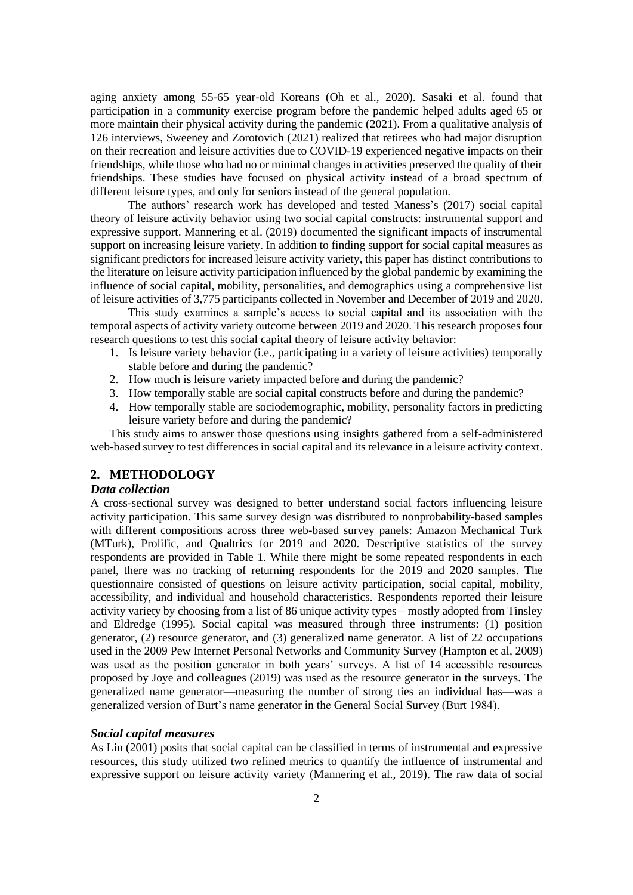aging anxiety among 55-65 year-old Koreans (Oh et al., 2020). Sasaki et al. found that participation in a community exercise program before the pandemic helped adults aged 65 or more maintain their physical activity during the pandemic (2021). From a qualitative analysis of 126 interviews, Sweeney and Zorotovich (2021) realized that retirees who had major disruption on their recreation and leisure activities due to COVID-19 experienced negative impacts on their friendships, while those who had no or minimal changes in activities preserved the quality of their friendships. These studies have focused on physical activity instead of a broad spectrum of different leisure types, and only for seniors instead of the general population.

The authors' research work has developed and tested Maness's (2017) social capital theory of leisure activity behavior using two social capital constructs: instrumental support and expressive support. Mannering et al. (2019) documented the significant impacts of instrumental support on increasing leisure variety. In addition to finding support for social capital measures as significant predictors for increased leisure activity variety, this paper has distinct contributions to the literature on leisure activity participation influenced by the global pandemic by examining the influence of social capital, mobility, personalities, and demographics using a comprehensive list of leisure activities of 3,775 participants collected in November and December of 2019 and 2020.

This study examines a sample's access to social capital and its association with the temporal aspects of activity variety outcome between 2019 and 2020. This research proposes four research questions to test this social capital theory of leisure activity behavior:

- 1. Is leisure variety behavior (i.e., participating in a variety of leisure activities) temporally stable before and during the pandemic?
- 2. How much is leisure variety impacted before and during the pandemic?
- 3. How temporally stable are social capital constructs before and during the pandemic?
- 4. How temporally stable are sociodemographic, mobility, personality factors in predicting leisure variety before and during the pandemic?

This study aims to answer those questions using insights gathered from a self-administered web-based survey to test differences in social capital and its relevance in a leisure activity context.

#### **2. METHODOLOGY**

# *Data collection*

A cross-sectional survey was designed to better understand social factors influencing leisure activity participation. This same survey design was distributed to nonprobability-based samples with different compositions across three web-based survey panels: Amazon Mechanical Turk (MTurk), Prolific, and Qualtrics for 2019 and 2020. Descriptive statistics of the survey respondents are provided in Table 1. While there might be some repeated respondents in each panel, there was no tracking of returning respondents for the 2019 and 2020 samples. The questionnaire consisted of questions on leisure activity participation, social capital, mobility, accessibility, and individual and household characteristics. Respondents reported their leisure activity variety by choosing from a list of 86 unique activity types – mostly adopted from Tinsley and Eldredge (1995). Social capital was measured through three instruments: (1) position generator, (2) resource generator, and (3) generalized name generator. A list of 22 occupations used in the 2009 Pew Internet Personal Networks and Community Survey (Hampton et al, 2009) was used as the position generator in both years' surveys. A list of 14 accessible resources proposed by Joye and colleagues (2019) was used as the resource generator in the surveys. The generalized name generator—measuring the number of strong ties an individual has—was a generalized version of Burt's name generator in the General Social Survey (Burt 1984).

#### *Social capital measures*

As Lin (2001) posits that social capital can be classified in terms of instrumental and expressive resources, this study utilized two refined metrics to quantify the influence of instrumental and expressive support on leisure activity variety (Mannering et al., 2019). The raw data of social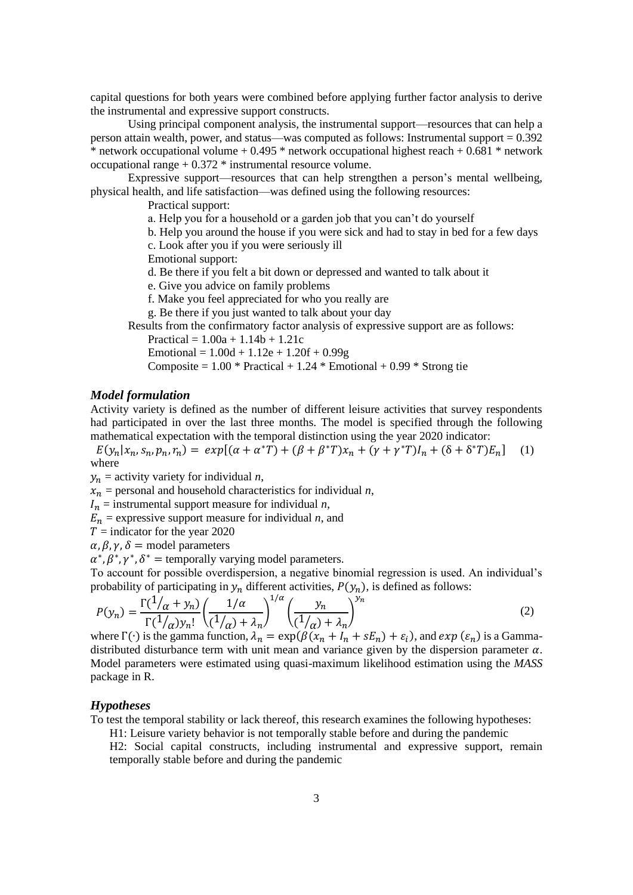capital questions for both years were combined before applying further factor analysis to derive the instrumental and expressive support constructs.

Using principal component analysis, the instrumental support—resources that can help a person attain wealth, power, and status—was computed as follows: Instrumental support = 0.392 \* network occupational volume +  $0.495$  \* network occupational highest reach +  $0.681$  \* network occupational range + 0.372 \* instrumental resource volume.

Expressive support—resources that can help strengthen a person's mental wellbeing, physical health, and life satisfaction—was defined using the following resources:

Practical support:

a. Help you for a household or a garden job that you can't do yourself

b. Help you around the house if you were sick and had to stay in bed for a few days

c. Look after you if you were seriously ill

Emotional support:

d. Be there if you felt a bit down or depressed and wanted to talk about it

e. Give you advice on family problems

f. Make you feel appreciated for who you really are

g. Be there if you just wanted to talk about your day

Results from the confirmatory factor analysis of expressive support are as follows:

Practical =  $1.00a + 1.14b + 1.21c$ 

Emotional =  $1.00d + 1.12e + 1.20f + 0.99g$ 

Composite =  $1.00 * \text{Practical} + 1.24 * \text{Emotional} + 0.99 * \text{Strong tie}$ 

# *Model formulation*

Activity variety is defined as the number of different leisure activities that survey respondents had participated in over the last three months. The model is specified through the following mathematical expectation with the temporal distinction using the year 2020 indicator:

 $E(y_n | x_n, s_n, p_n, r_n) = exp[(\alpha + \alpha^*T) + (\beta + \beta^*T)x_n + (\gamma + \gamma^*T)I_n + (\delta + \delta^*T)E_n]$  (1) where

 $y_n$  = activity variety for individual *n*,

 $x_n$  = personal and household characteristics for individual *n*,

 $I_n$  = instrumental support measure for individual *n*,

 $E_n$  = expressive support measure for individual *n*, and

 $T =$  indicator for the year 2020

 $\alpha$ ,  $\beta$ ,  $\gamma$ ,  $\delta$  = model parameters

 $\alpha^*, \beta^*, \gamma^*, \delta^*$  = temporally varying model parameters.

To account for possible overdispersion, a negative binomial regression is used. An individual's probability of participating in  $y_n$  different activities,  $P(y_n)$ , is defined as follows:

$$
P(y_n) = \frac{\Gamma(1/\alpha + y_n)}{\Gamma(1/\alpha)y_n!} \left(\frac{1/\alpha}{(1/\alpha) + \lambda_n}\right)^{1/\alpha} \left(\frac{y_n}{(1/\alpha) + \lambda_n}\right)^{y_n}
$$
(2)

where  $\Gamma(\cdot)$  is the gamma function,  $\lambda_n = \exp(\beta(x_n + I_n + sE_n) + \varepsilon_i)$ , and  $\exp(\varepsilon_n)$  is a Gammadistributed disturbance term with unit mean and variance given by the dispersion parameter  $\alpha$ . Model parameters were estimated using quasi-maximum likelihood estimation using the *MASS* package in R.

#### *Hypotheses*

To test the temporal stability or lack thereof, this research examines the following hypotheses:

H1: Leisure variety behavior is not temporally stable before and during the pandemic

H2: Social capital constructs, including instrumental and expressive support, remain temporally stable before and during the pandemic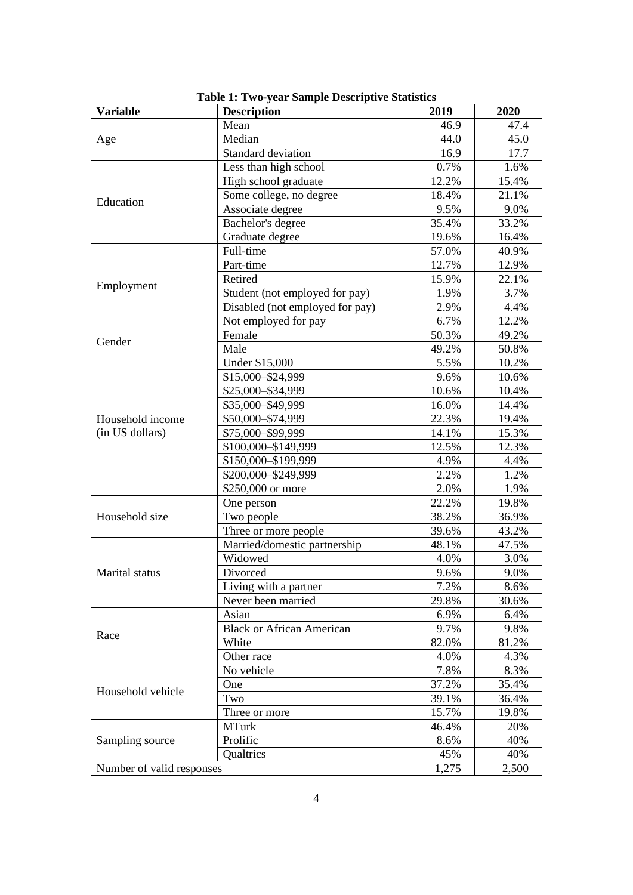| <b>Variable</b>           | <b>Description</b>               | 2019                                                                                                                                                                                   | 2020  |
|---------------------------|----------------------------------|----------------------------------------------------------------------------------------------------------------------------------------------------------------------------------------|-------|
|                           | Mean                             | 46.9                                                                                                                                                                                   | 47.4  |
| Age                       | Median                           | 44.0                                                                                                                                                                                   | 45.0  |
|                           | Standard deviation               | 16.9                                                                                                                                                                                   | 17.7  |
|                           | Less than high school            | 0.7%                                                                                                                                                                                   | 1.6%  |
|                           | High school graduate             | 12.2%                                                                                                                                                                                  | 15.4% |
|                           | Some college, no degree          | 18.4%                                                                                                                                                                                  | 21.1% |
| Education                 | Associate degree                 | 9.5%                                                                                                                                                                                   | 9.0%  |
|                           | Bachelor's degree                | 35.4%                                                                                                                                                                                  | 33.2% |
|                           | Graduate degree                  | 19.6%                                                                                                                                                                                  | 16.4% |
|                           | Full-time                        | 57.0%                                                                                                                                                                                  | 40.9% |
| Employment                | Part-time                        | 12.7%                                                                                                                                                                                  | 12.9% |
|                           | Retired                          | 15.9%                                                                                                                                                                                  | 22.1% |
|                           | Student (not employed for pay)   | 1.9%                                                                                                                                                                                   | 3.7%  |
|                           | Disabled (not employed for pay)  | 2.9%                                                                                                                                                                                   | 4.4%  |
|                           | Not employed for pay             | 6.7%                                                                                                                                                                                   | 12.2% |
|                           | Female                           | 50.3%                                                                                                                                                                                  | 49.2% |
| Gender                    | Male                             | 49.2%                                                                                                                                                                                  | 50.8% |
|                           | Under \$15,000                   | 5.5%                                                                                                                                                                                   | 10.2% |
|                           | \$15,000-\$24,999                | 9.6%                                                                                                                                                                                   | 10.6% |
|                           | \$25,000 - \$34,999              | 10.6%                                                                                                                                                                                  | 10.4% |
|                           | \$35,000-\$49,999                | 16.0%                                                                                                                                                                                  | 14.4% |
| Household income          | \$50,000-\$74,999                |                                                                                                                                                                                        | 19.4% |
| (in US dollars)           | \$75,000-\$99,999                |                                                                                                                                                                                        | 15.3% |
|                           | \$100,000 - \$149,999            | 12.5%                                                                                                                                                                                  | 12.3% |
|                           | \$150,000 - \$199,999            |                                                                                                                                                                                        | 4.4%  |
|                           | \$200,000 - \$249,999            | 2.2%                                                                                                                                                                                   | 1.2%  |
|                           | \$250,000 or more                |                                                                                                                                                                                        | 1.9%  |
|                           | One person                       | 22.2%                                                                                                                                                                                  | 19.8% |
| Household size            | Two people                       | 38.2%                                                                                                                                                                                  | 36.9% |
|                           | Three or more people             |                                                                                                                                                                                        | 43.2% |
|                           | Married/domestic partnership     | 22.3%<br>14.1%<br>4.9%<br>2.0%<br>39.6%<br>48.1%<br>4.0%<br>9.6%<br>7.2%<br>29.8%<br>6.9%<br>9.7%<br>82.0%<br>4.0%<br>7.8%<br>37.2%<br>39.1%<br>15.7%<br>46.4%<br>8.6%<br>45%<br>1,275 | 47.5% |
|                           | Widowed                          |                                                                                                                                                                                        | 3.0%  |
| Marital status            | Divorced                         |                                                                                                                                                                                        | 9.0%  |
|                           | Living with a partner            |                                                                                                                                                                                        | 8.6%  |
|                           | Never been married               |                                                                                                                                                                                        | 30.6% |
| Race                      | Asian                            |                                                                                                                                                                                        | 6.4%  |
|                           | <b>Black or African American</b> |                                                                                                                                                                                        | 9.8%  |
|                           | White                            |                                                                                                                                                                                        | 81.2% |
|                           | Other race                       |                                                                                                                                                                                        | 4.3%  |
|                           | No vehicle                       |                                                                                                                                                                                        | 8.3%  |
| Household vehicle         | One                              |                                                                                                                                                                                        | 35.4% |
|                           | Two                              |                                                                                                                                                                                        | 36.4% |
|                           | Three or more                    |                                                                                                                                                                                        | 19.8% |
|                           | <b>MTurk</b>                     |                                                                                                                                                                                        | 20%   |
| Sampling source           | Prolific                         |                                                                                                                                                                                        | 40%   |
|                           | Qualtrics                        |                                                                                                                                                                                        | 40%   |
| Number of valid responses |                                  |                                                                                                                                                                                        | 2,500 |

**Table 1: Two-year Sample Descriptive Statistics**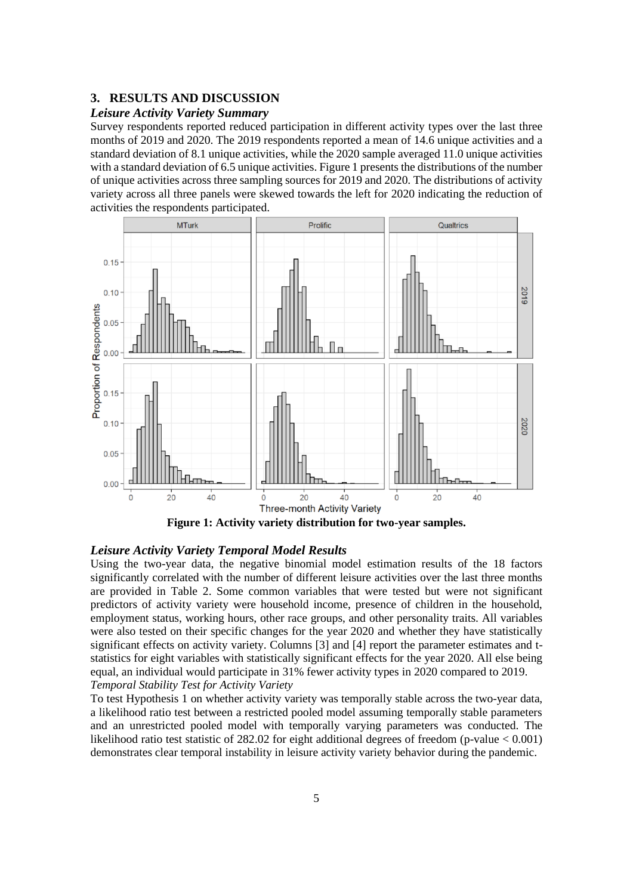## **3. RESULTS AND DISCUSSION**

### *Leisure Activity Variety Summary*

Survey respondents reported reduced participation in different activity types over the last three months of 2019 and 2020. The 2019 respondents reported a mean of 14.6 unique activities and a standard deviation of 8.1 unique activities, while the 2020 sample averaged 11.0 unique activities with a standard deviation of 6.5 unique activities. Figure 1 presents the distributions of the number of unique activities across three sampling sources for 2019 and 2020. The distributions of activity variety across all three panels were skewed towards the left for 2020 indicating the reduction of activities the respondents participated.



**Figure 1: Activity variety distribution for two-year samples.**

#### *Leisure Activity Variety Temporal Model Results*

Using the two-year data, the negative binomial model estimation results of the 18 factors significantly correlated with the number of different leisure activities over the last three months are provided in Table 2. Some common variables that were tested but were not significant predictors of activity variety were household income, presence of children in the household, employment status, working hours, other race groups, and other personality traits. All variables were also tested on their specific changes for the year 2020 and whether they have statistically significant effects on activity variety. Columns [3] and [4] report the parameter estimates and tstatistics for eight variables with statistically significant effects for the year 2020. All else being equal, an individual would participate in 31% fewer activity types in 2020 compared to 2019. *Temporal Stability Test for Activity Variety*

To test Hypothesis 1 on whether activity variety was temporally stable across the two-year data, a likelihood ratio test between a restricted pooled model assuming temporally stable parameters and an unrestricted pooled model with temporally varying parameters was conducted. The likelihood ratio test statistic of 282.02 for eight additional degrees of freedom (p-value < 0.001) demonstrates clear temporal instability in leisure activity variety behavior during the pandemic.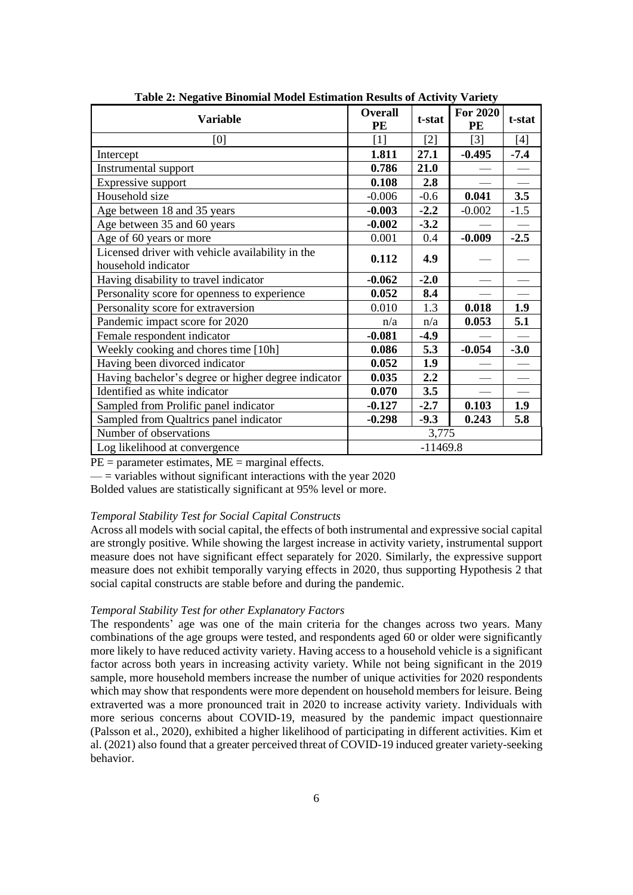| <b>Variable</b>                                                         | <b>Overall</b><br>PE | t-stat | <b>For 2020</b><br>PE | t-stat                   |
|-------------------------------------------------------------------------|----------------------|--------|-----------------------|--------------------------|
| [0]                                                                     | $[1]$                | $[2]$  | $\lceil 3 \rceil$     | $[4]$                    |
| Intercept                                                               | 1.811                | 27.1   | $-0.495$              | $-7.4$                   |
| Instrumental support                                                    | 0.786                | 21.0   |                       |                          |
| Expressive support                                                      | 0.108                | 2.8    |                       | $\overline{\phantom{0}}$ |
| Household size                                                          | $-0.006$             | $-0.6$ | 0.041                 | 3.5                      |
| Age between 18 and 35 years                                             | $-0.003$             | $-2.2$ | $-0.002$              | $-1.5$                   |
| Age between 35 and 60 years                                             | $-0.002$             | $-3.2$ |                       |                          |
| Age of 60 years or more                                                 | 0.001                | 0.4    | $-0.009$              | $-2.5$                   |
| Licensed driver with vehicle availability in the<br>household indicator | 0.112                | 4.9    |                       |                          |
| Having disability to travel indicator                                   | $-0.062$             | $-2.0$ |                       |                          |
| Personality score for openness to experience                            | 0.052                | 8.4    |                       |                          |
| Personality score for extraversion                                      | 0.010                | 1.3    | 0.018                 | 1.9                      |
| Pandemic impact score for 2020                                          | n/a                  | n/a    | 0.053                 | 5.1                      |
| Female respondent indicator                                             | $-0.081$             | $-4.9$ |                       |                          |
| Weekly cooking and chores time [10h]                                    | 0.086                | 5.3    | $-0.054$              | $-3.0$                   |
| Having been divorced indicator                                          | 0.052                | 1.9    |                       |                          |
| Having bachelor's degree or higher degree indicator                     | 0.035                | 2.2    |                       |                          |
| Identified as white indicator                                           | 0.070                | 3.5    |                       | $\overline{\phantom{0}}$ |
| Sampled from Prolific panel indicator                                   | $-0.127$             | $-2.7$ | 0.103                 | 1.9                      |
| Sampled from Qualtrics panel indicator                                  | $-0.298$             | $-9.3$ | 0.243                 | 5.8                      |
| Number of observations                                                  |                      | 3,775  |                       |                          |
| Log likelihood at convergence                                           | $-11469.8$           |        |                       |                          |

**Table 2: Negative Binomial Model Estimation Results of Activity Variety**

 $PE = parameter$  estimates,  $ME = marginal$  effects.

 $\equiv$  variables without significant interactions with the year 2020

Bolded values are statistically significant at 95% level or more.

#### *Temporal Stability Test for Social Capital Constructs*

Across all models with social capital, the effects of both instrumental and expressive social capital are strongly positive. While showing the largest increase in activity variety, instrumental support measure does not have significant effect separately for 2020. Similarly, the expressive support measure does not exhibit temporally varying effects in 2020, thus supporting Hypothesis 2 that social capital constructs are stable before and during the pandemic.

### *Temporal Stability Test for other Explanatory Factors*

The respondents' age was one of the main criteria for the changes across two years. Many combinations of the age groups were tested, and respondents aged 60 or older were significantly more likely to have reduced activity variety. Having access to a household vehicle is a significant factor across both years in increasing activity variety. While not being significant in the 2019 sample, more household members increase the number of unique activities for 2020 respondents which may show that respondents were more dependent on household members for leisure. Being extraverted was a more pronounced trait in 2020 to increase activity variety. Individuals with more serious concerns about COVID-19, measured by the pandemic impact questionnaire (Palsson et al., 2020), exhibited a higher likelihood of participating in different activities. Kim et al. (2021) also found that a greater perceived threat of COVID-19 induced greater variety-seeking behavior.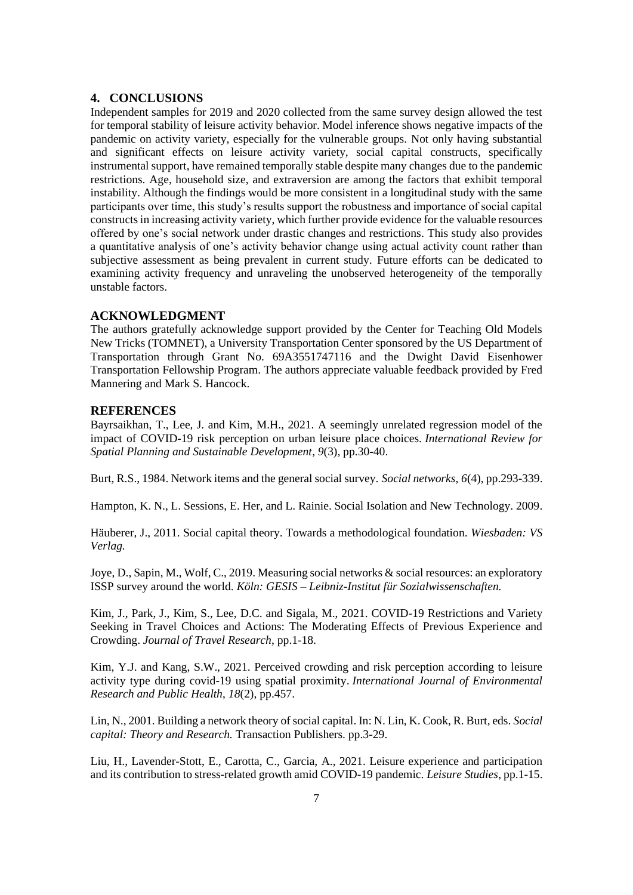### **4. CONCLUSIONS**

Independent samples for 2019 and 2020 collected from the same survey design allowed the test for temporal stability of leisure activity behavior. Model inference shows negative impacts of the pandemic on activity variety, especially for the vulnerable groups. Not only having substantial and significant effects on leisure activity variety, social capital constructs, specifically instrumental support, have remained temporally stable despite many changes due to the pandemic restrictions. Age, household size, and extraversion are among the factors that exhibit temporal instability. Although the findings would be more consistent in a longitudinal study with the same participants over time, this study's results support the robustness and importance of social capital constructs in increasing activity variety, which further provide evidence for the valuable resources offered by one's social network under drastic changes and restrictions. This study also provides a quantitative analysis of one's activity behavior change using actual activity count rather than subjective assessment as being prevalent in current study. Future efforts can be dedicated to examining activity frequency and unraveling the unobserved heterogeneity of the temporally unstable factors.

#### **ACKNOWLEDGMENT**

The authors gratefully acknowledge support provided by the Center for Teaching Old Models New Tricks (TOMNET), a University Transportation Center sponsored by the US Department of Transportation through Grant No. 69A3551747116 and the Dwight David Eisenhower Transportation Fellowship Program. The authors appreciate valuable feedback provided by Fred Mannering and Mark S. Hancock.

#### **REFERENCES**

Bayrsaikhan, T., Lee, J. and Kim, M.H., 2021. A seemingly unrelated regression model of the impact of COVID-19 risk perception on urban leisure place choices. *International Review for Spatial Planning and Sustainable Development*, *9*(3), pp.30-40.

Burt, R.S., 1984. Network items and the general social survey. *Social networks*, *6*(4), pp.293-339.

Hampton, K. N., L. Sessions, E. Her, and L. Rainie. Social Isolation and New Technology. 2009.

Häuberer, J., 2011. Social capital theory. Towards a methodological foundation. *Wiesbaden: VS Verlag.*

Joye, D., Sapin, M., Wolf, C., 2019. Measuring social networks & social resources: an exploratory ISSP survey around the world. *Köln: GESIS – Leibniz-Institut für Sozialwissenschaften.*

Kim, J., Park, J., Kim, S., Lee, D.C. and Sigala, M., 2021. COVID-19 Restrictions and Variety Seeking in Travel Choices and Actions: The Moderating Effects of Previous Experience and Crowding. *Journal of Travel Research*, pp.1-18.

Kim, Y.J. and Kang, S.W., 2021. Perceived crowding and risk perception according to leisure activity type during covid-19 using spatial proximity. *International Journal of Environmental Research and Public Health*, *18*(2), pp.457.

Lin, N., 2001. Building a network theory of social capital. In: N. Lin, K. Cook, R. Burt, eds. *Social capital: Theory and Research.* Transaction Publishers. pp.3-29.

Liu, H., Lavender-Stott, E., Carotta, C., Garcia, A., 2021. Leisure experience and participation and its contribution to stress-related growth amid COVID-19 pandemic. *Leisure Studies*, pp.1-15.